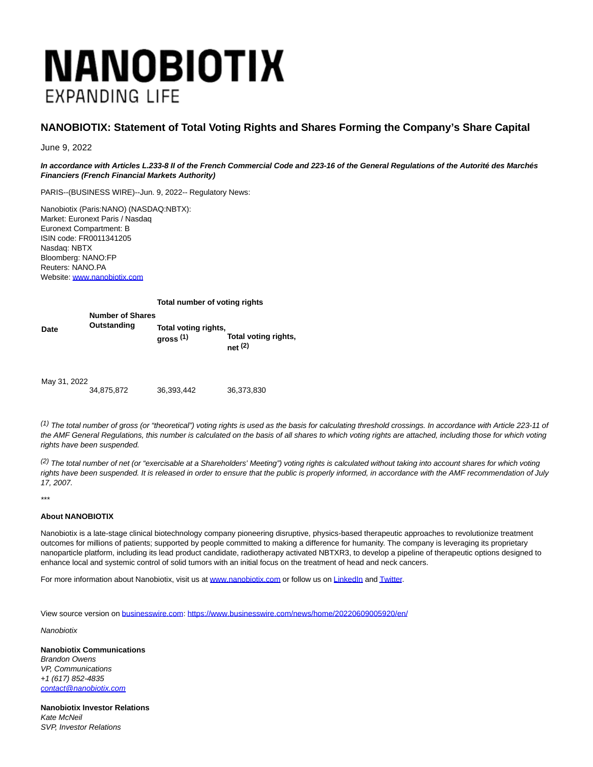## **NANOBIOTIX EXPANDING LIFE**

## **NANOBIOTIX: Statement of Total Voting Rights and Shares Forming the Company's Share Capital**

June 9, 2022

**In accordance with Articles L.233-8 II of the French Commercial Code and 223-16 of the General Regulations of the Autorité des Marchés Financiers (French Financial Markets Authority)**

PARIS--(BUSINESS WIRE)--Jun. 9, 2022-- Regulatory News:

Nanobiotix (Paris:NANO) (NASDAQ:NBTX): Market: Euronext Paris / Nasdaq Euronext Compartment: B ISIN code: FR0011341205 Nasdaq: NBTX Bloomberg: NANO:FP Reuters: NANO.PA Website: [www.nanobiotix.com](https://cts.businesswire.com/ct/CT?id=smartlink&url=http%3A%2F%2Fwww.nanobiotix.com&esheet=52745128&newsitemid=20220609005920&lan=en-US&anchor=www.nanobiotix.com&index=1&md5=08306cc70ada05e542aefe89ad448612)

## **Total number of voting rights**

| Date         | <b>Number of Shares</b> | Total voting rights, | Total voting rights, |
|--------------|-------------------------|----------------------|----------------------|
|              | Outstanding             | gross $(1)$          | net(2)               |
| May 31, 2022 | 34,875,872              | 36,393,442           | 36,373,830           |

 $(1)$  The total number of gross (or "theoretical") voting rights is used as the basis for calculating threshold crossings. In accordance with Article 223-11 of the AMF General Regulations, this number is calculated on the basis of all shares to which voting rights are attached, including those for which voting rights have been suspended.

 $(2)$  The total number of net (or "exercisable at a Shareholders' Meeting") voting rights is calculated without taking into account shares for which voting rights have been suspended. It is released in order to ensure that the public is properly informed, in accordance with the AMF recommendation of July 17, 2007.

\*\*\*

## **About NANOBIOTIX**

Nanobiotix is a late-stage clinical biotechnology company pioneering disruptive, physics-based therapeutic approaches to revolutionize treatment outcomes for millions of patients; supported by people committed to making a difference for humanity. The company is leveraging its proprietary nanoparticle platform, including its lead product candidate, radiotherapy activated NBTXR3, to develop a pipeline of therapeutic options designed to enhance local and systemic control of solid tumors with an initial focus on the treatment of head and neck cancers.

For more information about Nanobiotix, visit us at [www.nanobiotix.com o](https://cts.businesswire.com/ct/CT?id=smartlink&url=http%3A%2F%2Fwww.nanobiotix.com%2F&esheet=52745128&newsitemid=20220609005920&lan=en-US&anchor=www.nanobiotix.com&index=2&md5=f3d3959c6279476914009738b4e3c38d)r follow us on [LinkedIn a](https://cts.businesswire.com/ct/CT?id=smartlink&url=http%3A%2F%2Fwww.linkedin.com%2Fcompany%2Fnanobiotix&esheet=52745128&newsitemid=20220609005920&lan=en-US&anchor=LinkedIn&index=3&md5=1fd92a7ba0b3825ad19548a7f0c7d28b)n[d Twitter.](https://cts.businesswire.com/ct/CT?id=smartlink&url=http%3A%2F%2Fwww.twitter.com%2Fnanobiotix&esheet=52745128&newsitemid=20220609005920&lan=en-US&anchor=Twitter&index=4&md5=27dc5bcdee32f60e4d4b787e0b30ae39)

View source version on [businesswire.com:](http://businesswire.com/)<https://www.businesswire.com/news/home/20220609005920/en/>

**Nanobiotix** 

**Nanobiotix Communications** Brandon Owens VP, Communications +1 (617) 852-4835 [contact@nanobiotix.com](mailto:contact@nanobiotix.com)

**Nanobiotix Investor Relations** Kate McNeil SVP, Investor Relations